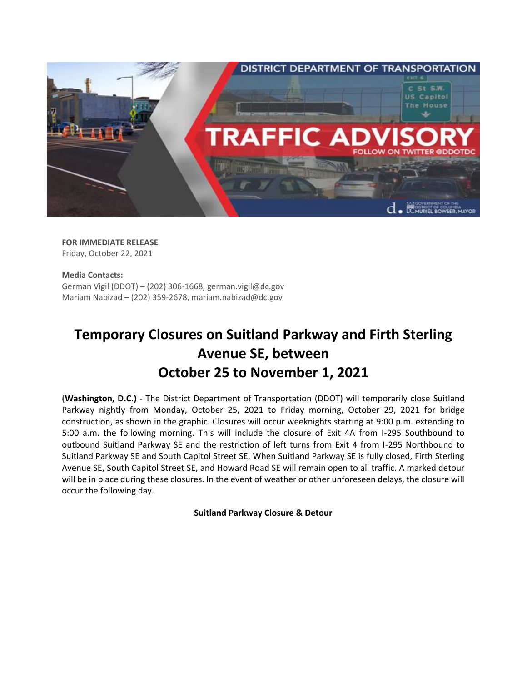

**FOR IMMEDIATE RELEASE** Friday, October 22, 2021

## **Media Contacts:** German Vigil (DDOT) – (202) 306-1668, german.vigil@dc.gov Mariam Nabizad – (202) 359-2678[, mariam.nabizad@dc.gov](mailto:mariam.nabizad@dc.gov)

## **Temporary Closures on Suitland Parkway and Firth Sterling Avenue SE, between October 25 to November 1, 2021**

**(Washington, D.C.)** - The District Department of Transportation (DDOT) will temporarily close Suitland Parkway nightly from Monday, October 25, 2021 to Friday morning, October 29, 2021 for bridge construction, as shown in the graphic. Closures will occur weeknights starting at 9:00 p.m. extending to 5:00 a.m. the following morning. This will include the closure of Exit 4A from I-295 Southbound to outbound Suitland Parkway SE and the restriction of left turns from Exit 4 from I-295 Northbound to Suitland Parkway SE and South Capitol Street SE. When Suitland Parkway SE is fully closed, Firth Sterling Avenue SE, South Capitol Street SE, and Howard Road SE will remain open to all traffic. A marked detour will be in place during these closures. In the event of weather or other unforeseen delays, the closure will occur the following day.

**Suitland Parkway Closure & Detour**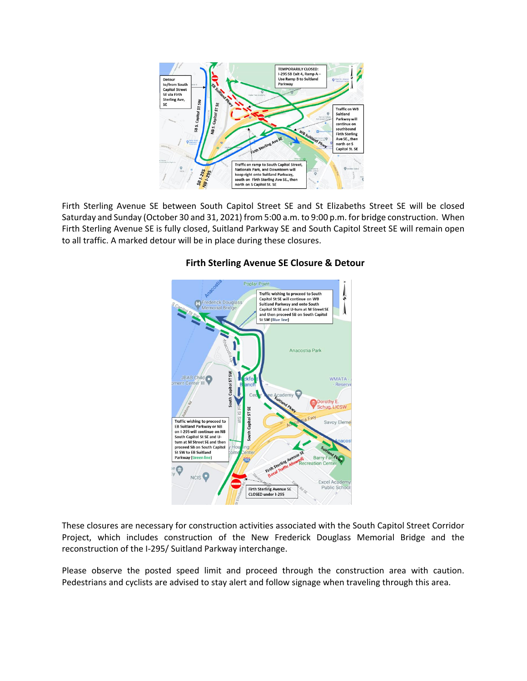

Firth Sterling Avenue SE between South Capitol Street SE and St Elizabeths Street SE will be closed Saturday and Sunday (October 30 and 31, 2021) from 5:00 a.m. to 9:00 p.m. for bridge construction. When Firth Sterling Avenue SE is fully closed, Suitland Parkway SE and South Capitol Street SE will remain open to all traffic. A marked detour will be in place during these closures.



## **Firth Sterling Avenue SE Closure & Detour**

These closures are necessary for construction activities associated with the South Capitol Street Corridor Project, which includes construction of the New Frederick Douglass Memorial Bridge and the reconstruction of the I-295/ Suitland Parkway interchange.

Please observe the posted speed limit and proceed through the construction area with caution. Pedestrians and cyclists are advised to stay alert and follow signage when traveling through this area.